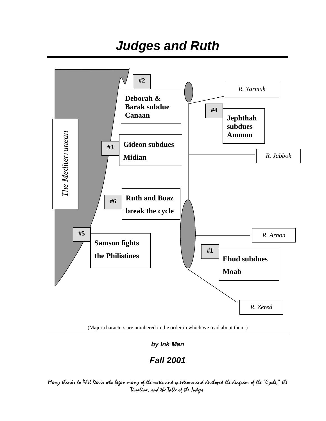*Judges and Ruth* 



(Major characters are numbered in the order in which we read about them.)

*by Ink Man* 

*Fall 2001* 

Many thanks to Phil Davis who began many of the notes and questions and developed the diagram of the "Cycle," the Timeline, and the Table of the Judges.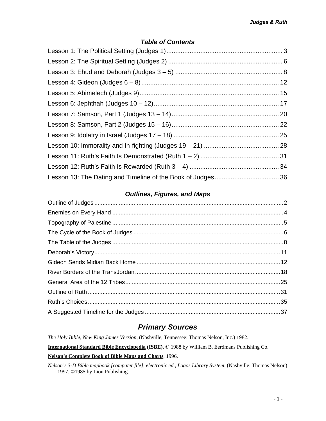### *Table of Contents*

### *Outlines, Figures, and Maps*

## *Primary Sources*

*The Holy Bible, New King James Version*, (Nashville, Tennessee: Thomas Nelson, Inc.) 1982. **International Standard Bible Encyclopedia (ISBE)**, © 1988 by William B. Eerdmans Publishing Co. **Nelson's Complete Book of Bible Maps and Charts**, 1996.

*Nelson's 3-D Bible mapbook [computer file], electronic ed., Logos Library System*, (Nashville: Thomas Nelson) 1997, ©1985 by Lion Publishing.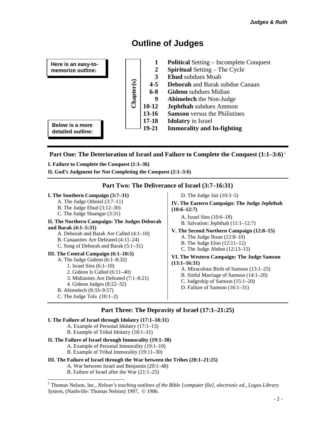# **Outline of Judges**

<span id="page-2-0"></span>

### **Part One: The Deterioration of Israel and Failure to Complete the Conquest (1:1–3:6)**<sup>1</sup>

**I. Failure to Complete the Conquest (1:1–36)**

**II. God's Judgment for Not Completing the Conquest (2:1–3:6)**

#### **Part Two: The Deliverance of Israel (3:7–16:31)**

#### **I. The Southern Campaign (3:7–31)**  A. The Judge Othniel (3:7–11) B. The Judge Ehud (3:12–30) C. The Judge Shamgar (3:31) **II. The Northern Campaign: The Judges Deborah and Barak (4:1–5:31)** A. Deborah and Barak Are Called (4:1–10) B. Canaanites Are Defeated (4:11–24) C. Song of Deborah and Barak (5:1–31) **III. The Central Campaign (6:1–10:5)**  A. The Judge Gideon (6:1–8:32) 1. Israel Sins (6:1–10) 2. Gideon Is Called (6:11–40) 3. Midianites Are Defeated (7:1–8:21) 4. Gideon Judges (8:22–32) B. Abimelech (8:33–9:57) C. The Judge Tola (10:1–2) D. The Judge Jair (10:3–5) **IV. The Eastern Campaign: The Judge Jephthah (10:6–12:7)**  A. Israel Sins (10:6–18) B. Salvation: Jephthah (11:1–12:7) **V. The Second Northern Campaign (12:8–15)**  A. The Judge Ibzan (12:8–10) B. The Judge Elon (12:11–12) C. The Judge Abdon (12:13–15) **VI. The Western Campaign: The Judge Samson (13:1–16:31)** A. Miraculous Birth of Samson (13:1–25) B. Sinful Marriage of Samson (14:1–20) C. Judgeship of Samson (15:1–20) D. Failure of Samson (16:1–31)

### **Part Three: The Depravity of Israel (17:1–21:25)**

#### **I. The Failure of Israel through Idolatry (17:1–18:31)**

- A. Example of Personal Idolatry (17:1–13)
- B. Example of Tribal Idolatry (18:1–31)

#### **II. The Failure of Israel through Immorality (19:1–30)**

- A. Example of Personal Immorality (19:1–10)
- B. Example of Tribal Immorality (19:11–30)

#### **III. The Failure of Israel through the War between the Tribes (20:1–21:25)**

A. War between Israel and Benjamin (20:1–48) B. Failure of Israel after the War (21:1–25)

<sup>|&</sup>lt;br>|<br>| <sup>1</sup> Thomas Nelson, Inc., *Nelson's teaching outlines of the Bible [computer file], electronic ed., Logos Library System*, (Nashville: Thomas Nelson) 1997, © 1986.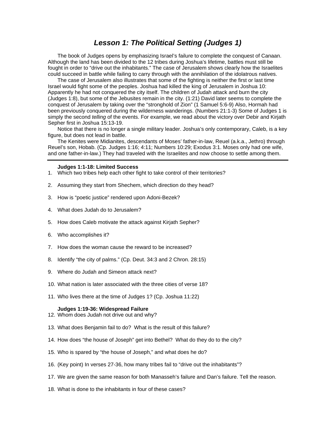### *Lesson 1: The Political Setting (Judges 1)*

<span id="page-3-0"></span>The book of Judges opens by emphasizing Israel's failure to complete the conquest of Canaan. Although the land has been divided to the 12 tribes during Joshua's lifetime, battles must still be fought in order to "drive out the inhabitants." The case of Jerusalem shows clearly how the Israelites could succeed in battle while failing to carry through with the annihilation of the idolatrous natives.

The case of Jerusalem also illustrates that some of the fighting is neither the first or last time Israel would fight some of the peoples. Joshua had killed the king of Jerusalem in Joshua 10: Apparently he had not conquered the city itself. The children of Judah attack and burn the city (Judges 1:8), but some of the Jebusites remain in the city. (1:21) David later seems to complete the conquest of Jerusalem by taking over the "stronghold of Zion" (1 Samuel 5:6-9) Also, Hormah had been previously conquered during the wilderness wanderings. (Numbers 21:1-3) Some of Judges 1 is simply the second *telling* of the events. For example, we read about the victory over Debir and Kirjath Sepher first in Joshua 15:13-19.

Notice that there is no longer a single military leader. Joshua's only contemporary, Caleb, is a key figure, but does not lead in battle.

The Kenites were Midianites, descendants of Moses' father-in-law, Reuel (a.k.a., Jethro) through Reuel's son, Hobab. (Cp. Judges 1:16; 4:11; Numbers 10:29; Exodus 3:1. Moses only had one wife, and one father-in-law.) They had traveled with the Israelites and now choose to settle among them.

#### **Judges 1:1-18: Limited Success**

- 1. Which two tribes help each other fight to take control of their territories?
- 2. Assuming they start from Shechem, which direction do they head?
- 3. How is "poetic justice" rendered upon Adoni-Bezek?
- 4. What does Judah do to Jerusalem?
- 5. How does Caleb motivate the attack against Kirjath Sepher?
- 6. Who accomplishes it?
- 7. How does the woman cause the reward to be increased?
- 8. Identify "the city of palms." (Cp. Deut. 34:3 and 2 Chron. 28:15)
- 9. Where do Judah and Simeon attack next?
- 10. What nation is later associated with the three cities of verse 18?
- 11. Who lives there at the time of Judges 1? (Cp. Joshua 11:22)

#### **Judges 1:19-36: Widespread Failure**

- 12. Whom does Judah not drive out and why?
- 13. What does Benjamin fail to do? What is the result of this failure?
- 14. How does "the house of Joseph" get into Bethel? What do they do to the city?
- 15. Who is spared by "the house of Joseph," and what does he do?
- 16. (Key point) In verses 27-36, how many tribes fail to "drive out the inhabitants"?
- 17. We are given the same reason for both Manasseh's failure and Dan's failure. Tell the reason.
- 18. What is done to the inhabitants in four of these cases?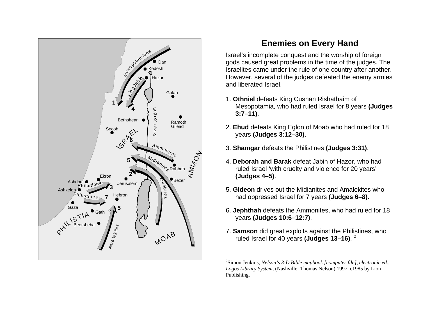

# **Enemies on Every Hand**

Israel's incomplete conquest and the worship of foreign gods caused great problems in the time of the judges. The Israelites came under the rule of one country after another. Howev er, several of the judges defeated the enemy armies and liberated Israel.

- 1. **Othniel** defeats King Cushan Rishathaim of Mesopotamia, who had ruled Israel for 8 years **(Judges 3:7–11)**.
- 2. **Ehud** defeats King Eglon of Moab who had ruled for 18 years **(Judges 3:12–30)**.
- 3. **Shamgar** defeats the Philistines **(Judges 3:31)**.
- 4. **Deborah and Barak** defeat Jabin of Haz or, who had ruled Israel 'with cruelty and violence for 20 years' **(Judges 4–5)**.
- 5. **Gideon** drives out the Midianites and Amalekites who had oppressed Israel for 7 years **(Judges 6–8)**.
- 6. **Jephthah** defeats the Ammonites, who had ruled for 18 years **(Judges 10:6–12:7)**.
- 7. **Samson** did great exploits against the Philistines, who ruled Israel for 40 years **(Judges 13–16)**. [2](#page-4-1)

<span id="page-4-1"></span><span id="page-4-0"></span><sup>2</sup>Simon Jenkins, *Nelson's 3-D Bible mapbook [computer file], electronic ed., Logos Library System*, (Nashville: Thomas Nelson) 1997, c1985 by Lion Publishing.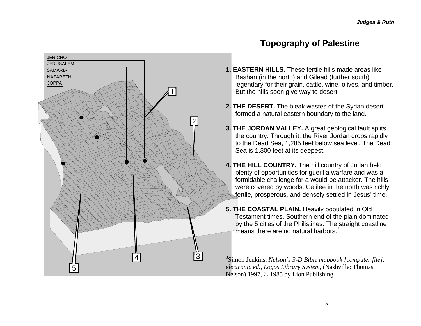

**JERICHO JERUSALEM** 

NAZARETHSAMARIA

<span id="page-5-0"></span>5

**JOPPA** 

- **1. EASTERN HILLS.** These fertile hills made areas like Bashan (in the north) and Gilead (further south) legendary for their grain, cattle, wine, olives, and timber. But the hills soon give way to desert.
- **2. THE DESERT.** The bleak wastes of the Syrian desert formed a natural eastern boundary to the land.

2

3

4

- **3. THE JORDAN VALLEY.** A great geological fault splits the country. Through it, the River Jordan drops rapidly to the Dead Sea, 1,285 feet below sea level. The Dead Sea is 1,300 feet at its deepest.
- **4. THE HILL COUNTRY.** The hill country of Judah held plenty of opportunitie s for guerilla warfare and was a formidable challenge for a would-be attacker. The hills were covered by woods. Galilee in the north was richly fertile, prosperous, and densely s ettled in Jesus' time.
- **5. THE COASTAL PLAIN.** Heavily populated in Old Testament times. Southern end of the plain dominated by the 5 cities of the P hilistines. The straight coastline means there are no natural harbors. $3$

<span id="page-5-1"></span>3Simon Jenkins, *Nelson's 3-D Bible mapbook [computer file], electronic ed., Logos Library System*, (Nashville: Thomas Nelson) 1997, © 1985 by Lion Publishing.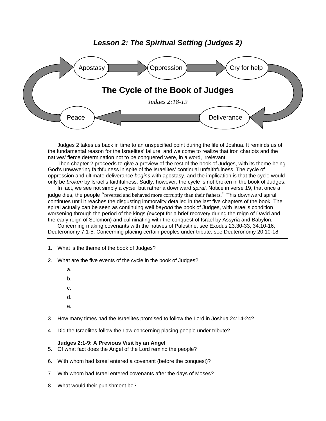### *Lesson 2: The Spiritual Setting (Judges 2)*

<span id="page-6-0"></span>

Judges 2 takes us back in time to an unspecified point during the life of Joshua. It reminds us of the fundamental reason for the Israelites' failure, and we come to realize that iron chariots and the natives' fierce determination not to be conquered were, in a word, irrelevant.

Then chapter 2 proceeds to give a preview of the rest of the book of Judges, with its theme being God's unwavering faithfulness in spite of the Israelites' continual unfaithfulness. The cycle of oppression and ultimate deliverance *begins* with apostasy, and the implication is that the cycle would only be *broken* by Israel's faithfulness. Sadly, however, the cycle is not broken in the book of Judges.

In fact, we see not simply a *cycle*, but rather a downward *spiral*. Notice in verse 19, that once a judge dies, the people "reverted and behaved more corruptly than their fathers." This downward spiral continues until it reaches the disgusting immorality detailed in the last five chapters of the book. The spiral actually can be seen as continuing well *beyond* the book of Judges, with Israel's condition worsening through the period of the kings (except for a brief recovery during the reign of David and the early reign of Solomon) and culminating with the conquest of Israel by Assyria and Babylon.

Concerning making covenants with the natives of Palestine, see Exodus 23:30-33, 34:10-16; Deuteronomy 7:1-5. Concerning placing certain peoples under tribute, see Deuteronomy 20:10-18.

- 1. What is the theme of the book of Judges?
- 2. What are the five events of the cycle in the book of Judges?
	- a.
	- b.
	-
	- c.
	- d.
	- e.
- 3. How many times had the Israelites promised to follow the Lord in Joshua 24:14-24?
- 4. Did the Israelites follow the Law concerning placing people under tribute?

#### **Judges 2:1-9: A Previous Visit by an Angel**

- 5. Of what fact does the Angel of the Lord remind the people?
- 6. With whom had Israel entered a covenant (before the conquest)?
- 7. With whom had Israel entered covenants after the days of Moses?
- 8. What would their punishment be?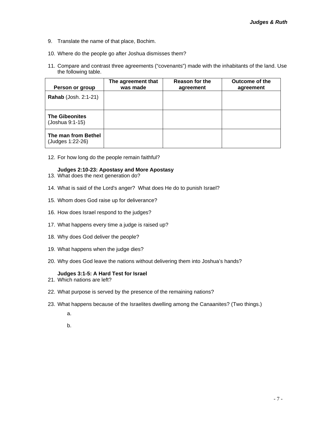- 9. Translate the name of that place, Bochim.
- 10. Where do the people go after Joshua dismisses them?
- 11. Compare and contrast three agreements ("covenants") made with the inhabitants of the land. Use the following table.

| Person or group                          | The agreement that<br>was made | Reason for the<br>agreement | Outcome of the<br>agreement |
|------------------------------------------|--------------------------------|-----------------------------|-----------------------------|
| <b>Rahab</b> (Josh. 2:1-21)              |                                |                             |                             |
| <b>The Gibeonites</b><br>(Joshua 9:1-15) |                                |                             |                             |
| The man from Bethel<br>(Judges 1:22-26)  |                                |                             |                             |

12. For how long do the people remain faithful?

#### **Judges 2:10-23: Apostasy and More Apostasy**

- 13. What does the next generation do?
- 14. What is said of the Lord's anger? What does He do to punish Israel?
- 15. Whom does God raise up for deliverance?
- 16. How does Israel respond to the judges?
- 17. What happens every time a judge is raised up?
- 18. Why does God deliver the people?
- 19. What happens when the judge dies?
- 20. Why does God leave the nations without delivering them into Joshua's hands?

#### **Judges 3:1-5: A Hard Test for Israel**

- 21. Which nations are left?
- 22. What purpose is served by the presence of the remaining nations?
- 23. What happens because of the Israelites dwelling among the Canaanites? (Two things.)
	- a.
	- b.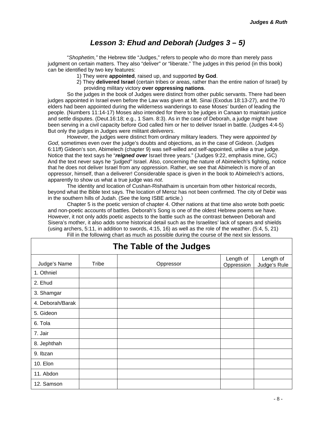### *Lesson 3: Ehud and Deborah (Judges 3 – 5)*

<span id="page-8-0"></span>"*Shophetim,"* the Hebrew title "Judges," refers to people who do more than merely pass judgment on certain matters. They also "deliver" or "liberate." The judges in this period (in this book) can be identified by two key features:

- 1) They were **appointed**, raised up, and supported **by God**.
- 2) They **delivered Israel** (certain tribes or areas, rather than the entire nation of Israel) by providing military victory **over oppressing nations**.

So the judges in the book of Judges were distinct from other public servants. There had been judges appointed in Israel even before the Law was given at Mt. Sinai (Exodus 18:13-27), and the 70 elders had been appointed during the wilderness wanderings to ease Moses' burden of leading the people. (Numbers 11:14-17) Moses also intended for there to be judges in Canaan to maintain justice and settle disputes. (Deut.16:18; e.g., 1 Sam. 8:3). As in the case of Deborah, a judge might have been serving in a civil capacity before God called him or her to deliver Israel in battle. (Judges 4:4-5) But only the judges in Judges were militant *deliverers*.

However, the judges were distinct from ordinary military leaders. They were *appointed by God*, sometimes even over the judge's doubts and objections, as in the case of Gideon. (Judges 6:11ff) Gideon's son, Abimelech (chapter 9) was self-willed and self-appointed, unlike a true judge. Notice that the text says he "*reigned over* Israel three years." (Judges 9:22, emphasis mine, GC) And the text never says he *"judged"* Israel. Also, concerning the nature of Abimelech's fighting, notice that he does not deliver Israel from any oppression. Rather, we see that Abimelech is more of an oppressor, himself, than a deliverer! Considerable space is given in the book to Abimelech's actions, apparently to show us what a true judge was *not*.

The identity and location of Cushan-Rishathaim is uncertain from other historical records, beyond what the Bible text says. The location of Meroz has not been confirmed. The city of Debir was in the southern hills of Judah. (See the long ISBE article.)

Chapter 5 is the poetic version of chapter 4. Other nations at that time also wrote both poetic and non-poetic accounts of battles. Deborah's Song is one of the oldest Hebrew poems we have. However, it not only adds poetic aspects to the battle such as the contrast between Deborah and Sisera's mother, it also adds some historical detail such as the Israelites' lack of spears and shields (using archers, 5:11, in addition to swords, 4:15, 16) as well as the role of the weather. (5:4, 5, 21) Fill in the following chart as much as possible during the course of the next six lessons.

| Judge's Name     | Tribe | Oppressor | Length of<br>Oppression | Length of<br>Judge's Rule |
|------------------|-------|-----------|-------------------------|---------------------------|
| 1. Othniel       |       |           |                         |                           |
| 2. Ehud          |       |           |                         |                           |
| 3. Shamgar       |       |           |                         |                           |
| 4. Deborah/Barak |       |           |                         |                           |
| 5. Gideon        |       |           |                         |                           |
| 6. Tola          |       |           |                         |                           |
| 7. Jair          |       |           |                         |                           |
| 8. Jephthah      |       |           |                         |                           |
| 9. Ibzan         |       |           |                         |                           |
| 10. Elon         |       |           |                         |                           |
| 11. Abdon        |       |           |                         |                           |
| 12. Samson       |       |           |                         |                           |

# **The Table of the Judges**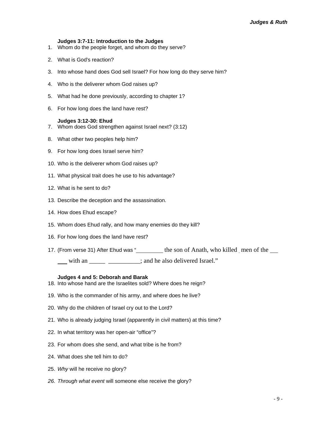#### **Judges 3:7-11: Introduction to the Judges**

- 1. Whom do the people forget, and whom do they serve?
- 2. What is God's reaction?
- 3. Into whose hand does God sell Israel? For how long do they serve him?
- 4. Who is the deliverer whom God raises up?
- 5. What had he done previously, according to chapter 1?
- 6. For how long does the land have rest?

#### **Judges 3:12-30: Ehud**

- 7. Whom does God strengthen against Israel next? (3:12)
- 8. What other two peoples help him?
- 9. For how long does Israel serve him?
- 10. Who is the deliverer whom God raises up?
- 11. What physical trait does he use to his advantage?
- 12. What is he sent to do?
- 13. Describe the deception and the assassination.
- 14. How does Ehud escape?
- 15. Whom does Ehud rally, and how many enemies do they kill?
- 16. For how long does the land have rest?
- 17. (From verse 31) After Ehud was "
the son of Anath, who killed men of the

with an \_\_\_\_\_\_\_\_\_\_\_\_\_\_\_; and he also delivered Israel."

#### **Judges 4 and 5: Deborah and Barak**

- 18. Into whose hand are the Israelites sold? Where does he reign?
- 19. Who is the commander of his army, and where does he live?
- 20. Why do the children of Israel cry out to the Lord?
- 21. Who is already judging Israel (apparently in civil matters) at this time?
- 22. In what territory was her open-air "office"?
- 23. For whom does she send, and what tribe is he from?
- 24. What does she tell him to do?
- 25. *Why* will he receive no glory?
- *26. Through what event* will someone else receive the glory?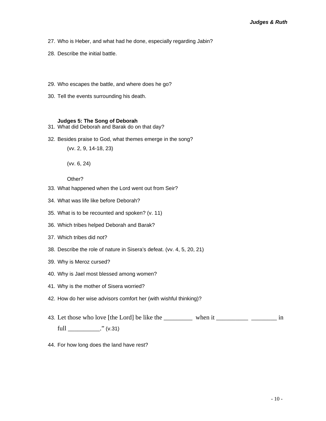- 27. Who is Heber, and what had he done, especially regarding Jabin?
- 28. Describe the initial battle.
- 29. Who escapes the battle, and where does he go?
- 30. Tell the events surrounding his death.

#### **Judges 5: The Song of Deborah**

- 31. What did Deborah and Barak do on that day?
- 32. Besides praise to God, what themes emerge in the song?

(vv. 2, 9, 14-18, 23)

(vv. 6, 24)

Other?

- 33. What happened when the Lord went out from Seir?
- 34. What was life like before Deborah?
- 35. What is to be recounted and spoken? (v. 11)
- 36. Which tribes helped Deborah and Barak?
- 37. Which tribes did not?
- 38. Describe the role of nature in Sisera's defeat. (vv. 4, 5, 20, 21)
- 39. Why is Meroz cursed?
- 40. Why is Jael most blessed among women?
- 41. Why is the mother of Sisera worried?
- 42. How do her wise advisors comfort her (with wishful thinking)?
- 43. Let those who love [the Lord] be like the \_\_\_\_\_\_\_\_\_\_ when it \_\_\_\_\_\_\_\_\_\_\_\_\_\_\_ in  $full$   $\frac{1}{2}$   $\frac{1}{2}$   $\frac{1}{2}$   $\frac{1}{2}$   $\frac{1}{2}$   $\frac{1}{2}$   $\frac{1}{2}$   $\frac{1}{2}$   $\frac{1}{2}$   $\frac{1}{2}$   $\frac{1}{2}$   $\frac{1}{2}$   $\frac{1}{2}$   $\frac{1}{2}$   $\frac{1}{2}$   $\frac{1}{2}$   $\frac{1}{2}$   $\frac{1}{2}$   $\frac{1}{2}$   $\frac{1}{2}$   $\frac{1}{2}$   $\frac{1}{2$
- 44. For how long does the land have rest?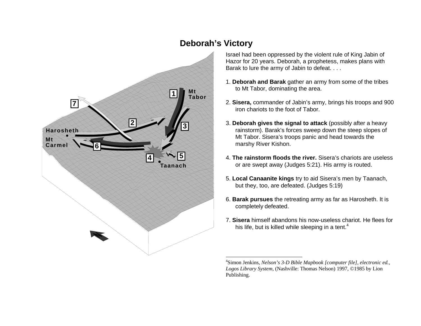# **74 5 1362Mt TaborTaanachHaroshethMtCarmel**

# **Deborah's Victory**

Israel had been oppressed by the violent rule of King Jabin of Hazor for 20 years. Deborah, a prophetess, makes plans with Barak to lure the army of Jabin to defeat. . . .

- 1. **Deborah and Barak** gather an army from some of the tribes to Mt Tabor, dominating the area.
- 2. **Sisera,** commander of Jabin's army, brings his troops and 900 iron chariots to the foot of Tabor.
- 3. **Deborah gives the signal to attack** (possibly after a heavy rainstorm). Barak's forces sweep down the steep slopes of Mt Tabor. Sisera's troops panic and head towards the marshy River Kishon.
- 4. **The rainstorm floods the river.** Sisera's chariots are useless or are swept away (Judges 5:21). His army is routed.
- 5. **Local Canaanite kings** try to aid Sisera's men by Taanach, but they, too, are defeated. (Judges 5:19)
- 6. **Barak pursues** the retreating army as far as Harosheth. It is completely defeated.
- 7. **Sisera** himself abandons his now-useless chariot. He flees for his life, but is killed while sleeping in a tent. $4$

<span id="page-11-1"></span><span id="page-11-0"></span><sup>4</sup>Simon Jenkins, *Nelson's 3-D Bible Mapbook [computer file], electronic ed., Logos Library System*, (Nashville: Thomas Nelson) 1997, ©1985 by Lion Publishing.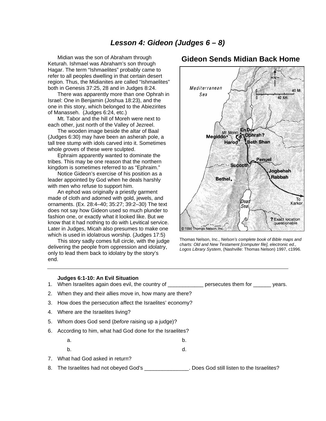<span id="page-12-0"></span>Midian was the son of Abraham through Keturah. Ishmael was Abraham's son through Hagar. The term "Ishmaelites" probably came to refer to all peoples dwelling in that certain desert region. Thus, the Midianites are called "Ishmaelites" both in Genesis 37:25, 28 and in Judges 8:24.

There was apparently more than one Ophrah in Israel: One in Benjamin (Joshua 18:23), and the one in this story, which belonged to the Abiezirites of Manasseh. (Judges 6:24, etc.)

Mt. Tabor and the hill of Moreh were next to each other, just north of the Valley of Jezreel.

The wooden image beside the altar of Baal (Judges 6:30) may have been an asherah pole, a tall tree stump with idols carved into it. Sometimes whole *groves* of these were sculpted.

Ephraim apparently wanted to dominate the tribes. This may be one reason that the northern kingdom is sometimes referred to as "Ephraim."

Notice Gideon's exercise of his position as a leader appointed by God when he deals harshly with men who refuse to support him.

An ephod was originally a priestly garment made of cloth and adorned with gold, jewels, and ornaments. (Ex. 28:4–40; 35:27; 39:2–30) The text does not say how Gideon used so much plunder to fashion one, or exactly what it looked like. But we know that it had nothing to do with Levitical service. Later in Judges, Micah also presumes to make one which is used in idolatrous worship. (Judges 17:5)

This story sadly comes full circle, with the judge delivering the people from oppression and idolatry, only to lead them back to idolatry by the story's end.

### **Gideon Sends Midian Back Home**



Thomas Nelson, Inc., *Nelson's complete book of Bible maps and charts: Old and New Testament [computer file], electronic ed., Logos Library System*, (Nashville: Thomas Nelson) 1997, c1996.

|    | Judges 6:1-10: An Evil Situation<br>1. When Israelites again does evil, the country of ________________ persecutes them for ________ years. |    |  |
|----|---------------------------------------------------------------------------------------------------------------------------------------------|----|--|
|    | 2. When they and their allies move in, how many are there?                                                                                  |    |  |
|    | 3. How does the persecution affect the Israelites' economy?                                                                                 |    |  |
|    | 4. Where are the Israelites living?                                                                                                         |    |  |
|    | 5. Whom does God send (before raising up a judge)?                                                                                          |    |  |
| 6. | According to him, what had God done for the Israelites?                                                                                     |    |  |
|    | a.                                                                                                                                          | b. |  |
|    | b.                                                                                                                                          | d. |  |
| 7. | What had God asked in return?                                                                                                               |    |  |
|    |                                                                                                                                             |    |  |

8. The Israelites had not obeyed God's \_\_\_\_\_\_\_\_\_\_\_\_\_\_\_. Does God still listen to the Israelites?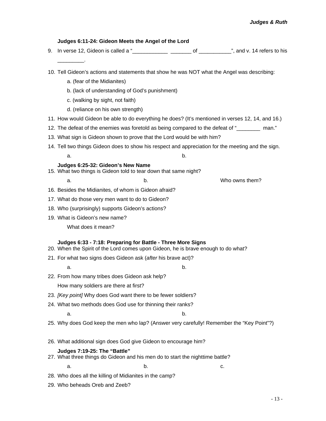# **Judges 6:11-24: Gideon Meets the Angel of the Lord**  9. In verse 12, Gideon is called a "\_\_\_\_\_\_\_\_\_\_\_\_ \_\_\_\_\_\_\_ of \_\_\_\_\_\_\_\_\_\_\_", and v. 14 refers to his  $\overline{\phantom{a}}$  . 10. Tell Gideon's actions and statements that show he was NOT what the Angel was describing: a. (fear of the Midianites) b. (lack of understanding of God's punishment) c. (walking by sight, not faith) d. (reliance on his own strength) 11. How would Gideon be able to do everything he does? (It's mentioned in verses 12, 14, and 16.) 12. The defeat of the enemies was foretold as being compared to the defeat of "\_\_\_\_\_\_\_\_ man." 13. What sign is Gideon shown to prove that the Lord would be with him? 14. Tell two things Gideon does to show his respect and appreciation for the meeting and the sign. a. b. **Judges 6:25-32: Gideon's New Name**  15. What two things is Gideon told to tear down that same night? a. b. b. Who owns them? 16. Besides the Midianites, of whom is Gideon afraid? 17. What do those very men want to do to Gideon? 18. Who (surprisingly) supports Gideon's actions? 19. What is Gideon's new name? What does it mean? **Judges 6:33 - 7:18: Preparing for Battle - Three More Signs**  20. When the Spirit of the Lord comes upon Gideon, he is brave enough to do what? 21. For what two signs does Gideon ask (*after* his brave act)? a. b. 22. From how many tribes does Gideon ask help? How many soldiers are there at first? 23. *[Key point]* Why does God want there to be fewer soldiers? 24. What two methods does God use for thinning their ranks? a. b. 25. Why does God keep the men who lap? (Answer very carefully! Remember the "Key Point"?) 26. What additional sign does God give Gideon to encourage him? **Judges 7:19-25: The "Battle"**  27. What three things do Gideon and his men do to start the nighttime battle?  $a.$  b. c. 28. Who does all the killing of Midianites in the camp?

29. Who beheads Oreb and Zeeb?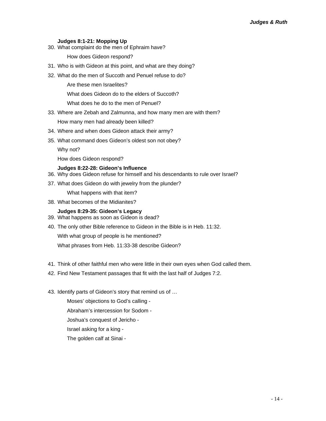#### **Judges 8:1-21: Mopping Up**

30. What complaint do the men of Ephraim have?

How does Gideon respond?

- 31. Who is with Gideon at this point, and what are they doing?
- 32. What do the men of Succoth and Penuel refuse to do?

Are these men Israelites?

What does Gideon do to the elders of Succoth?

What does he do to the men of Penuel?

33. Where are Zebah and Zalmunna, and how many men are with them?

How many men had already been killed?

- 34. Where and when does Gideon attack their army?
- 35. What command does Gideon's oldest son not obey?

Why not?

How does Gideon respond?

#### **Judges 8:22-28: Gideon's Influence**

- 36. Why does Gideon refuse for himself and his descendants to rule over Israel?
- 37. What does Gideon do with jewelry from the plunder?

What happens with that item?

38. What becomes of the Midianites?

#### **Judges 8:29-35: Gideon's Legacy**

- 39. What happens as soon as Gideon is dead?
- 40. The only other Bible reference to Gideon in the Bible is in Heb. 11:32.

With what group of people is he mentioned?

What phrases from Heb. 11:33-38 describe Gideon?

- 41. Think of other faithful men who were little in their own eyes when God called them.
- 42. Find New Testament passages that fit with the last half of Judges 7:2.
- 43. Identify parts of Gideon's story that remind us of …

Moses' objections to God's calling - Abraham's intercession for Sodom - Joshua's conquest of Jericho - Israel asking for a king - The golden calf at Sinai -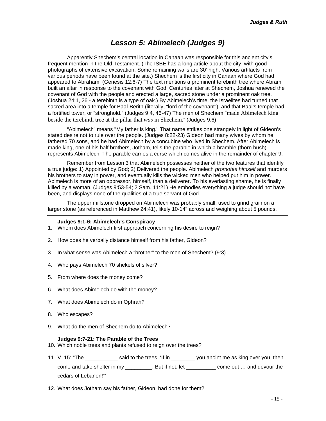### *Lesson 5: Abimelech (Judges 9)*

<span id="page-15-0"></span>Apparently Shechem's central location in Canaan was responsible for this ancient city's frequent mention in the Old Testament. (The ISBE has a long article about the city, with good photographs of extensive excavation. Some remaining walls are 30' high. Various artifacts from various periods have been found at the site.) Shechem is the first city in Canaan where God had appeared to Abraham. (Genesis 12:6-7) The text mentions a prominent terebinth tree where Abram built an altar in response to the covenant with God. Centuries later at Shechem, Joshua renewed the covenant of God with the people and erected a large, sacred stone under a prominent oak tree. (Joshua 24:1, 26 - a terebinth is a type of oak.) By Abimelech's time, the Israelites had turned that sacred area into a temple for Baal-Berith (literally, "lord of the covenant"), and that Baal's temple had a fortified tower, or "stronghold." (Judges 9:4, 46-47) The men of Shechem "made Abimelech king beside the terebinth tree at the pillar that *was* in Shechem." (Judges 9:6)

"Abimelech" means "My father is king." That name strikes one strangely in light of Gideon's stated desire not to rule over the people. (Judges 8:22-23) Gideon had many wives by whom he fathered 70 sons, and he had Abimelech by a concubine who lived in Shechem. After Abimelech is made king, one of his half brothers, Jotham, tells the parable in which a bramble (thorn bush) represents Abimelech. The parable carries a curse which comes alive in the remainder of chapter 9.

Remember from Lesson 3 that Abimelech possesses neither of the two features that identify a true judge: 1) Appointed by God; 2) Delivered the people. Abimelech *promotes himself* and murders his brothers to stay in power, and eventually kills the wicked men who helped put him in power. Abimelech is more of an oppressor, himself, than a deliverer. To his everlasting shame, he is finally killed by a woman. (Judges 9:53-54; 2 Sam. 11:21) He embodies everything a judge should not have been, and displays none of the qualities of a true servant of God.

The upper millstone dropped on Abimelech was probably small, used to grind grain on a larger stone (as referenced in Matthew 24:41), likely 10-14" across and weighing about 5 pounds.

#### **Judges 9:1-6: Abimelech's Conspiracy**

- 1. Whom does Abimelech first approach concerning his desire to reign?
- 2. How does he verbally distance himself from his father, Gideon?
- 3. In what sense was Abimelech a "brother" to the men of Shechem? (9:3)
- 4. Who pays Abimelech 70 shekels of silver?
- 5. From where does the money come?
- 6. What does Abimelech do with the money?
- 7. What does Abimelech do in Ophrah?
- 8. Who escapes?
- 9. What do the men of Shechem do to Abimelech?

#### **Judges 9:7-21: The Parable of the Trees**

- 10. Which noble trees and plants refused to reign over the trees?
- 11. V. 15: "The \_\_\_\_\_\_\_\_\_\_\_\_\_ said to the trees, 'If in \_\_\_\_\_\_\_\_\_ you anoint me as king over you, then come and take shelter in my \_\_\_\_\_\_\_\_\_; But if not, let \_\_\_\_\_\_\_\_\_\_ come out … and devour the cedars of Lebanon!'"
- 12. What does Jotham say his father, Gideon, had done for them?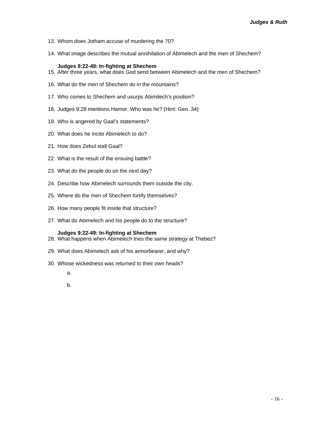- 13. Whom does Jotham accuse of murdering the 70?
- 14. What image describes the mutual annihilation of Abimelech and the men of Shechem?

#### **Judges 9:22-49: In-fighting at Shechem**

- 15. After three years, what does God send between Abimelech and the men of Shechem?
- 16. What do the men of Shechem do in the mountains?
- 17. Who comes to Shechem and usurps Abimilech's position?
- 18. Judges 9:28 mentions Hamor. Who was he? (Hint: Gen. 34)
- 19. Who is angered by Gaal's statements?
- 20. What does he incite Abimelech to do?
- 21. How does Zebul stall Gaal?
- 22. What is the result of the ensuing battle?
- 23. What do the people do on the next day?
- 24. Describe how Abimelech surrounds them outside the city.
- 25. Where do the men of Shechem fortify themselves?
- 26. How many people fit inside that structure?
- 27. What do Abimelech and his people do to the structure?

#### **Judges 9:22-49: In-fighting at Shechem**

- 28. What happens when Abimelech tries the same strategy at Thebez?
- 29. What does Abimelech ask of his armorbearer, and why?
- 30. Whose wickedness was returned to their own heads?
	- a.
	- b.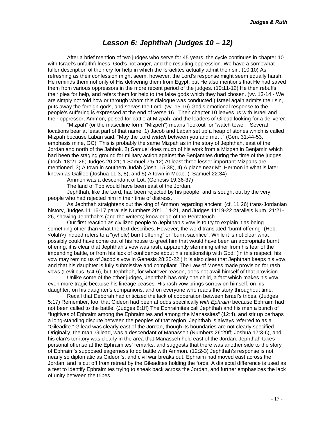### *Lesson 6: Jephthah (Judges 10 – 12)*

<span id="page-17-0"></span>After a brief mention of two judges who serve for 45 years, the cycle continues in chapter 10 with Israel's unfaithfulness, God's hot anger, and the resulting oppression. We have a somewhat fuller description of their cry for help in which the Israelites actually admit their sin. (10:10) As refreshing as their confession might seem, however, the Lord's response might seem equally harsh. He reminds them not only of His delivering them from Egypt, but He also mentions that He had saved them from various oppressors in the more recent period of the judges. (10:11-12) He then rebuffs their plea for help, and refers them for help to the false gods which they had chosen. (vv. 13-14 - We are simply not told how or through whom this dialogue was conducted.) Israel again admits their sin, puts away the foreign gods, and serves the Lord. (vv. 15-16) God's emotional response to the people's suffering is expressed at the end of verse 16. Then chapter 10 leaves us with Israel and their oppressor, Ammon, poised for battle at Mizpah, and the leaders of Gilead looking for a deliverer.

"Mizpah" (or the masculine form, "Mizpeh") means "lookout" or "watch tower." Several locations bear at least part of that name. 1) Jacob and Laban set up a heap of stones which is called Mizpah because Laban said, "May the Lord *watch* between you and me…" (Gen. 31:44-53, emphasis mine, GC) This is probably the same Mizpah as in the story of Jephthah, east of the Jordan and north of the Jabbok. 2) Samuel does much of his work from a Mizpah in Benjamin which had been the staging ground for military action against the Benjamites during the time of the judges. (Josh. 18:21,26; Judges 20-21; 1 Samuel 7:5-12) At least three lesser important Mizpahs are mentioned. 3) A town in southern Judah (Josh. 15:38), 4) A place near Mt. Hermon in what is later known as Galilee (Joshua 11:3, 8), and 5) A town in Moab. (I Samuel 22:34)

Ammon was a descendant of Lot. (Genesis 19:36-37)

The land of Tob would have been east of the Jordan.

Jephthah, like the Lord, had been rejected by his people, and is sought out by the very people who had rejected him in their time of distress.

As Jephthah straightens out the king of Ammon regarding ancient (cf. 11:26) trans-Jordanian history, Judges 11:16-17 parallels Numbers 20:1, 14-21, and Judges 11:19-22 parallels Num. 21:21- 26, showing Jephthah's (and the writer's) knowledge of the Pentateuch.

Our first reaction as civilized people to Jephthah's vow is to try to explain it as being something other than what the text describes. However, the word translated "burnt offering" (Heb. <olah>) indeed refers to a "(whole) burnt offering" or "burnt sacrifice". While it is not clear what possibly could have come out of his house to greet him that would have been an appropriate burnt offering, it is clear that Jephthah's vow was rash, apparently stemming either from his fear of the impending battle, or from his lack of confidence about his relationship with God. (In this respect, his vow may remind us of Jacob's vow in Genesis 28:20-22.) It is also clear that Jephthah keeps his vow, and that his daughter is fully submissive and compliant. The Law of Moses made provision for rash vows (Leviticus 5:4-6), but Jephthah, for whatever reason, does not avail himself of that provision.

Unlike some of the other judges, Jephthah has only one child, a fact which makes his vow even more tragic because his lineage ceases. His rash vow brings sorrow on himself, on his daughter, on his daughter's companions, and on everyone who reads the story throughout time.

Recall that Deborah had criticized the lack of cooperation between Israel's tribes. (Judges 5:17) Remember, too, that Gideon had been at odds specifically *with Ephraim* because Ephraim had not been called to the battle. (Judges 8:1ff) The Ephraimites call Jephthah and his men a bunch of "fugitives of Ephraim among the Ephraimites and among the Manassites" (12:4), and stir up perhaps a long-standing dispute between the peoples of that region. Jephthah is always referred to as a "Gileadite." Gilead was clearly east of the Jordan, though its boundaries are not clearly specified. Originally, the man, Gilead, was a descendant of Manasseh (Numbers 26:29ff; Joshua 17:3-6), and his clan's territory was clearly in the area that Manasseh held east of the Jordan. Jephthah takes personal offense at the Ephraimites' remarks, and suggests that there was another side to the story of Ephraim's supposed eagerness to do battle with Ammon. (12:2-3) Jephthah's response is not nearly so diplomatic as Gideon's, and civil war breaks out. Ephraim had moved east across the Jordan, and is cut off from retreat by the Gileadites holding the fords. A dialectal difference is used as a test to identify Ephraimites trying to sneak back across the Jordan, and further emphasizes the lack of unity between the tribes.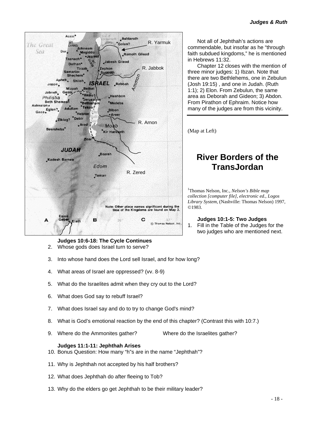<span id="page-18-0"></span>

**Judges 10:6-18: The Cycle Continues** 2. Whose gods does Israel turn to serve?

- 
- 3. Into whose hand does the Lord sell Israel, and for how long?
- 4. What areas of Israel are oppressed? (vv. 8-9)
- 5. What do the Israelites admit when they cry out to the Lord?
- 6. What does God say to rebuff Israel?
- 7. What does Israel say and do to try to change God's mind?
- 8. What is God's emotional reaction by the end of this chapter? (Contrast this with 10:7.)
- 9. Where do the Ammonites gather? Where do the Israelites gather?

#### **Judges 11:1-11: Jephthah Arises**

- 10. Bonus Question: How many "h"s are in the name "Jephthah"?
- 11. Why is Jephthah not accepted by his half brothers?
- 12. What does Jephthah do after fleeing to Tob?
- 13. Why do the elders go get Jephthah to be their military leader?

Not all of Jephthah's actions are commendable, but insofar as he "through faith subdued kingdoms," he is mentioned in Hebrews 11:32.

Chapter 12 closes with the mention of three minor judges: 1) Ibzan. Note that there are two Bethlehems, one in Zebulun (Josh 19:15) , and one in Judah. (Ruth 1:1); 2) Elon. From Zebulun, the same area as Deborah and Gideon; 3) Abdon. From Pirathon of Ephraim. Notice how many of the judges are from this vicinity.

(Map at Left)

# **River Borders of the TransJordan**

1 Thomas Nelson, Inc., *Nelson's Bible map collection [computer file], electronic ed., Logos Library System*, (Nashville: Thomas Nelson) 1997, ©1983.

#### **Judges 10:1-5: Two Judges**

1. Fill in the Table of the Judges for the two judges who are mentioned next.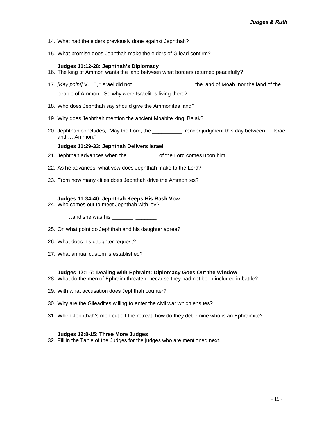- 14. What had the elders previously done against Jephthah?
- 15. What promise does Jephthah make the elders of Gilead confirm?

#### **Judges 11:12-28: Jephthah's Diplomacy**

- 16. The king of Ammon wants the land between what borders returned peacefully?
- 17. *[Key point]* V. 15, "Israel did not \_\_\_\_\_\_\_\_\_\_\_\_\_\_\_\_\_\_\_\_\_\_\_\_\_\_\_\_ the land of Moab, nor the land of the people of Ammon." So why were Israelites living there?
- 18. Who does Jephthah say should give the Ammonites land?
- 19. Why does Jephthah mention the ancient Moabite king, Balak?
- 20. Jephthah concludes, "May the Lord, the \_\_\_\_\_\_\_\_\_\_, render judgment this day between … Israel and … Ammon."

#### **Judges 11:29-33: Jephthah Delivers Israel**

- 21. Jephthah advances when the \_\_\_\_\_\_\_\_\_\_\_ of the Lord comes upon him.
- 22. As he advances, what vow does Jephthah make to the Lord?
- 23. From how many cities does Jephthah drive the Ammonites?

#### **Judges 11:34-40: Jephthah Keeps His Rash Vow**

- 24. Who comes out to meet Jephthah with joy?
	- $\dots$ and she was his
- 25. On what point do Jephthah and his daughter agree?
- 26. What does his daughter request?
- 27. What annual custom is established?

#### **Judges 12:1-7: Dealing with Ephraim: Diplomacy Goes Out the Window**

- 28. What do the men of Ephraim threaten, because they had not been included in battle?
- 29. With what accusation does Jephthah counter?
- 30. Why are the Gileadites willing to enter the civil war which ensues?
- 31. When Jephthah's men cut off the retreat, how do they determine who is an Ephraimite?

#### **Judges 12:8-15: Three More Judges**

32. Fill in the Table of the Judges for the judges who are mentioned next.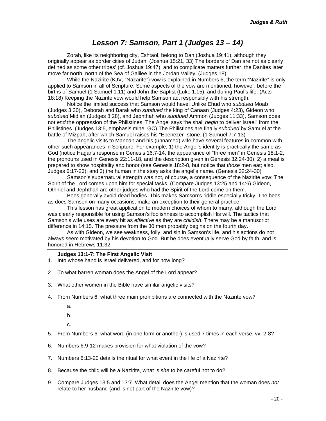### *Lesson 7: Samson, Part 1 (Judges 13 – 14)*

<span id="page-20-0"></span>Zorah, like its neighboring city, Eshtaol, belong to Dan (Joshua 19:41), although they originally appear as border cities of Judah. (Joshua 15:21, 33) The borders of Dan are not as clearly defined as some other tribes' (cf. Joshua 19:47), and to complicate matters further, the Danites later move far north, north of the Sea of Galilee in the Jordan Valley. (Judges 18)

While the Nazirite (KJV, "Nazarite") vow is explained in Numbers 6, the term "Nazirite" is only applied to Samson in all of Scripture. Some aspects of the vow are mentioned, however, before the births of Samuel (1 Samuel 1:11) and John the Baptist (Luke 1:15), and during Paul's life. (Acts 18:18) Keeping the Nazirite vow would help Samson act responsibly with his strength.

Notice the limited success that Samson would have: Unlike Ehud who *subdued* Moab (Judges 3:30), Deborah and Barak who *subdued* the king of Canaan (Judges 4:23), Gideon who *subdued* Midian (Judges 8:28), and Jephthah who *subdued* Ammon (Judges 11:33), Samson does not *end* the oppression of the Philistines. The Angel says "he shall *begin* to deliver Israel" from the Philistines. (Judges 13:5, emphasis mine, GC) The Philistines are finally *subdued* by Samuel at the battle of Mizpah, after which Samuel raises his "Ebenezer" stone. (1 Samuel 7:7-13)

The angelic visits to Manoah and his (unnamed) wife have several features in common with other such appearances in Scripture. For example, 1) the Angel's identity is practically the same as God (notice Hagar's response in Genesis 16:7-14, the appearance of "three men" in Genesis 18:1-2, the pronouns used in Genesis 22:11-18, and the description given in Genesis 32:24-30); 2) a meal is prepared to show hospitality and honor (see Genesis 18:2-8, but notice that *those* men eat; also, Judges 6:17-23); and 3) the human in the story asks the angel's name. (Genesis 32:24-30)

Samson's supernatural strength was not, of course, a consequence of the Nazirite vow: The Spirit of the Lord comes upon him for special tasks. (Compare Judges 13:25 and 14:6) Gideon, Othniel and Jephthah are other judges who had the Spirit of the Lord come on them.

Bees generally avoid dead bodies. This makes Samson's riddle especially tricky. The bees, as does Samson on many occasions, make an exception to their general practice.

This lesson has great application to modern choices of whom to marry, although the Lord was clearly responsible for using Samson's foolishness to accomplish His will. The tactics that Samson's wife uses are every bit as *effective* as they are *childish*. There may be a manuscript difference in 14:15. The pressure from the 30 men probably begins on the fourth day.

As with Gideon, we see weakness, folly, and sin in Samson's life, and his actions do not always seem motivated by his devotion to God. But he does eventually serve God by faith, and is honored in Hebrews 11:32.

#### **Judges 13:1-7: The First Angelic Visit**

- 1. Into whose hand is Israel delivered, and for how long?
- 2. To what barren woman does the Angel of the Lord appear?
- 3. What other women in the Bible have similar angelic visits?
- 4. From Numbers 6, what three main prohibitions are connected with the Nazirite vow?
	- a.
	- b.

c.

- 5. From Numbers 6, what word (in one form or another) is used 7 times in each verse, vv. 2-8?
- 6. Numbers 6:9-12 makes provision for what violation of the vow?
- 7. Numbers 6:13-20 details the ritual for what event in the life of a Nazirite?
- 8. Because the child will be a Nazirite, what is *she* to be careful not to do?
- 9. Compare Judges 13:5 and 13:7. What detail does the Angel mention that the woman does *not* relate to her husband (and is not part of the Nazirite vow)?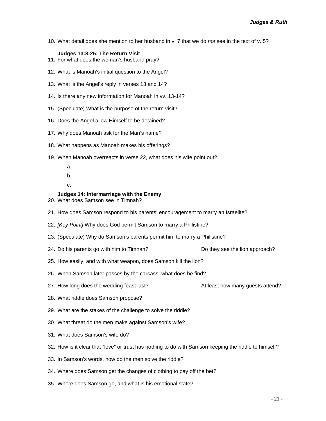10. What detail does she mention to her husband in v. 7 that we do *not* see in the text of v. 5?

#### **Judges 13:8-25: The Return Visit**

- 11. For what does the woman's husband pray?
- 12. What is Manoah's initial question to the Angel?
- 13. What is the Angel's reply in verses 13 and 14?
- 14. Is there any new information for Manoah in vv. 13-14?
- 15. (Speculate) What is the purpose of the return visit?
- 16. Does the Angel allow Himself to be detained?
- 17. Why does Manoah ask for the Man's name?
- 18. What happens as Manoah makes his offerings?
- 19. When Manoah overreacts in verse 22, what does his wife point out?
	- a.
	- b.
	- c.

#### **Judges 14: Intermarriage with the Enemy**

- 20. What does Samson see in Timnah?
- 21. How does Samson respond to his parents' encouragement to marry an Israelite?
- 22. *[Key Point]* Why does God permit Samson to marry a Philistine?
- 23. (Speculate) Why do Samson's parents permit him to marry a Philistine?
- 24. Do his parents go with him to Timnah? Do they see the lion approach?
- 
- 25. How easily, and with what weapon, does Samson kill the lion?
- 26. When Samson later passes by the carcass, what does he find?
- 27. How long does the wedding feast last? At least how many guests attend?
- 28. What riddle does Samson propose?
- 29. What are the stakes of the challenge to solve the riddle?
- 30. What threat do the men make against Samson's wife?
- 31. What does Samson's wife do?
- 32. How is it clear that "love" or trust has nothing to do with Samson keeping the riddle to himself?
- 33. In Samson's words, how do the men solve the riddle?
- 34. Where does Samson get the changes of clothing to pay off the bet?
- 35. Where does Samson go, and what is his emotional state?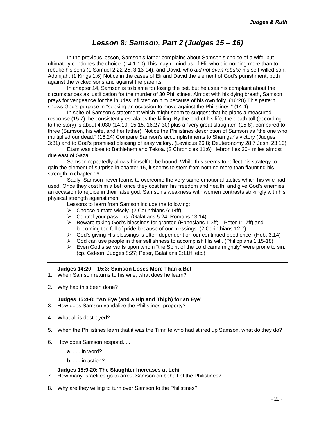### *Lesson 8: Samson, Part 2 (Judges 15 – 16)*

<span id="page-22-0"></span>In the previous lesson, Samson's father complains about Samson's choice of a wife, but ultimately condones the choice. (14:1-10) This may remind us of Eli, who did nothing more than to rebuke his sons (1 Samuel 2:22-25; 3:13-14), and David, who *did not even rebuke* his self-willed son, Adonijah. (1 Kings 1:6) Notice in the cases of Eli and David the element of God's punishment, both against the wicked sons and against the parents.

In chapter 14, Samson is to blame for losing the bet, but he uses his complaint about the circumstances as justification for the murder of 30 Philistines. Almost with his dying breath, Samson prays for vengeance for the injuries inflicted on him because of his own folly. (16:28) This pattern shows God's purpose in "seeking an occasion to move against the Philistines." (14:4)

In spite of Samson's statement which might seem to suggest that he plans a measured response (15:7), he consistently escalates the killing. By the end of his life, the death toll (according to the story) is about 4,030 (14:19; 15:15; 16:27-30) plus a "very great slaughter" (15:8), compared to three (Samson, his wife, and her father). Notice the Philistines description of Samson as "the one who multiplied our dead." (16:24) Compare Samson's accomplishments to Shamgar's victory (Judges 3:31) and to God's promised blessing of easy victory. (Leviticus 26:8; Deuteronomy 28:7 Josh. 23:10)

Etam was close to Bethlehem and Tekoa. (2 Chronicles 11:6) Hebron lies 30+ miles almost due east of Gaza.

Samson repeatedly allows himself to be bound. While this seems to reflect his strategy to gain the element of surprise in chapter 15, it seems to stem from nothing more than flaunting his strength in chapter 16.

Sadly, Samson never learns to overcome the very same emotional tactics which his wife had used. Once they cost him a bet; once they cost him his freedom and health, and give God's enemies an occasion to rejoice in their false god. Samson's weakness with women contrasts strikingly with his physical strength against men.

Lessons to learn from Samson include the following:

- $\triangleright$  Choose a mate wisely. (2 Corinthians 6:14ff)
- ¾ Control your passions. (Galatians 5:24; Romans 13:14)
- ¾ Beware taking God's blessings for granted (Ephesians 1:3ff; 1 Peter 1:17ff) and becoming too full of pride because of our blessings. (2 Corinthians 12:7)
- ¾ God's giving His blessings is often dependent on our continued obedience. (Heb. 3:14)
- $\triangleright$  God can use people in their selfishness to accomplish His will. (Philippians 1:15-18)
- $\triangleright$  Even God's servants upon whom "the Spirit of the Lord came mightily" were prone to sin. (cp. Gideon, Judges 8:27; Peter, Galatians 2:11ff; etc.)

#### **Judges 14:20 – 15:3: Samson Loses More Than a Bet**

- 1. When Samson returns to his wife, what does he learn?
- 2. Why had this been done?

#### **Judges 15:4-8: "An Eye (and a Hip and Thigh) for an Eye"**

- 3. How does Samson vandalize the Philistines' property?
- 4. What all is destroyed?
- 5. When the Philistines learn that it was the Timnite who had stirred up Samson, what do they do?
- 6. How does Samson respond. . .
	- a. . . . in word?
	- b. . . . in action?

#### **Judges 15:9-20: The Slaughter Increases at Lehi**

- 7. How many Israelites go to arrest Samson on behalf of the Philistines?
- 8. Why are they willing to turn over Samson to the Philistines?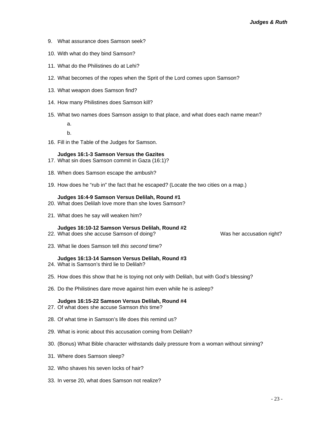- 9. What assurance does Samson seek?
- 10. With what do they bind Samson?
- 11. What do the Philistines do at Lehi?
- 12. What becomes of the ropes when the Sprit of the Lord comes upon Samson?
- 13. What weapon does Samson find?
- 14. How many Philistines does Samson kill?
- 15. What two names does Samson assign to that place, and what does each name mean?

a.

b.

16. Fill in the Table of the Judges for Samson.

#### **Judges 16:1-3 Samson Versus the Gazites**

- 17. What sin does Samson commit in Gaza (16:1)?
- 18. When does Samson escape the ambush?
- 19. How does he "rub in" the fact that he escaped? (Locate the two cities on a map.)

#### **Judges 16:4-9 Samson Versus Delilah, Round #1**

- 20. What does Delilah love more than she loves Samson?
- 21. What does he say will weaken him?

#### **Judges 16:10-12 Samson Versus Delilah, Round #2**

22. What does she accuse Samson of doing? Was her accusation right?

23. What lie does Samson tell *this second* time?

#### **Judges 16:13-14 Samson Versus Delilah, Round #3**

- 24. What is Samson's third lie to Delilah?
- 25. How does this show that he is toying not only with Delilah, but with God's blessing?
- 26. Do the Philistines dare move against him even while he is asleep?

#### **Judges 16:15-22 Samson Versus Delilah, Round #4**

- 27. Of what does she accuse Samson *this* time?
- 28. Of what time in Samson's life does this remind us?
- 29. What is ironic about this accusation coming from Delilah?
- 30. (Bonus) What Bible character withstands daily pressure from a woman without sinning?
- 31. Where does Samson sleep?
- 32. Who shaves his seven locks of hair?
- 33. In verse 20, what does Samson not realize?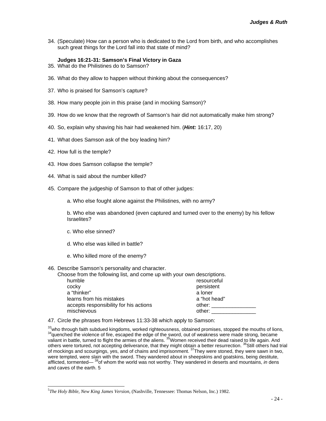34. (Speculate) How can a person who is dedicated to the Lord from birth, and who accomplishes such great things for the Lord fall into that state of mind?

#### **Judges 16:21-31: Samson's Final Victory in Gaza**

- 35. What do the Philistines do to Samson?
- 36. What do they allow to happen without thinking about the consequences?
- 37. Who is praised for Samson's capture?
- 38. How many people join in this praise (and in mocking Samson)?
- 39. How do we know that the regrowth of Samson's hair did not automatically make him strong?
- 40. So, explain why shaving his hair had weakened him. (*Hint:* 16:17, 20)
- 41. What does Samson ask of the boy leading him?
- 42. How full is the temple?
- 43. How does Samson collapse the temple?
- 44. What is said about the number killed?
- 45. Compare the judgeship of Samson to that of other judges:

a. Who else fought alone against the Philistines, with no army?

b. Who else was abandoned (even captured and turned over to the enemy) by his fellow Israelites?

- c. Who else sinned?
- d. Who else was killed in battle?
- e. Who killed more of the enemy?

#### 46. Describe Samson's personality and character.

| Choose from the following list, and come up with your own descriptions. |              |
|-------------------------------------------------------------------------|--------------|
| humble                                                                  | resourceful  |
| cocky                                                                   | persistent   |
| a "thinker"                                                             | a loner      |
| learns from his mistakes                                                | a "hot head" |
| accepts responsibility for his actions                                  | other:       |
| mischievous                                                             | other:       |

47. Circle the phrases from Hebrews 11:33-38 which apply to Samson:

 $\frac{33}{3}$ who through faith subdued kingdoms, worked righteousness, obtained promises, stopped the mouths of lions,<br> $\frac{34}{3}$ quenched the violence of fire, escaped the edge of the sword, out of weakness were made strong, valiant in battle, turned to flight the armies of the aliens. <sup>35</sup>Women received their dead raised to life again. And others were tortured, not accepting deliverance, that they might obtain a better resurrection. <sup>36</sup>Still others had trial of mockings and scourgings, yes, and of chains and imprisonment. <sup>37</sup>They were stoned, they were sawn in two, were tempted, were slain with the sword. They wandered about in sheepskins and goatskins, being destitute, afflicted, tormented— 38of whom the world was not worthy. They wandered in deserts and mountains, *in* dens and caves of the earth. [5](#page-24-0) 

<span id="page-24-0"></span> <sup>5</sup> *The Holy Bible, New King James Version*, (Nashville, Tennessee: Thomas Nelson, Inc.) 1982.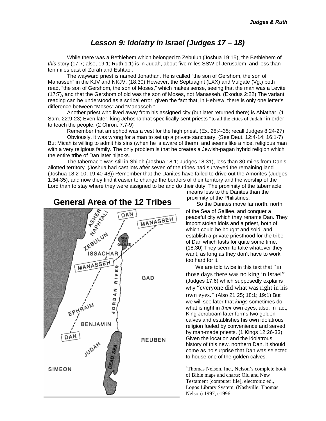### *Lesson 9: Idolatry in Israel (Judges 17 – 18)*

<span id="page-25-0"></span>While there was a Bethlehem which belonged to Zebulun (Joshua 19:15), the Bethlehem of *this* story (17:7; also, 19:1; Ruth 1:1) is in Judah, about five miles SSW of Jerusalem, and less than ten miles east of Zorah and Eshtaol.

The wayward priest is named Jonathan. He is called "the son of Gershom, the son of Manasseh" in the KJV and NKJV. (18:30) However, the Septuagint (LXX) and Vulgate (Vg.) both read, "the son of Gershom, the son of Moses," which makes sense, seeing that the man was a Levite (17:7), and that the Gershom of old was the son of Moses, not Manasseh. (Exodus 2:22) The variant reading can be understood as a scribal error, given the fact that, in Hebrew, there is only one letter's difference between "Moses" and "Manasseh."

Another priest who lived away from his assigned city (but later returned there) is Abiathar. (1 Sam. 22:9-23) Even later, king Jehoshaphat specifically sent priests "to all the cities of Judah" in order to teach the people. (2 Chron. 7:7-9)

Remember that an ephod was a vest for the high priest. (Ex. 28:4-35; recall Judges 8:24-27)

Obviously, it was wrong for a man to set up a private sanctuary. (See Deut. 12:4-14; 16:1-7) But Micah is willing to admit his sins (when he is aware of them), and seems like a nice, religious man with a very religious family. The only problem is that he creates a Jewish-pagan hybrid religion which the entire tribe of Dan later hijacks.

The tabernacle was still in Shiloh (Joshua 18:1; Judges 18:31), less than 30 miles from Dan's allotted territory. (Joshua had cast lots after seven of the tribes had surveyed the remaining land. (Joshua 18:2-10; 19:40-48)) Remember that the Danites have failed to drive out the Amorites (Judges 1:34-35), and now they find it easier to change the borders of their territory and the worship of the Lord than to stay where they were assigned to be and do their duty. The proximity of the tabernacle



means less to the Danites than the proximity of the Philistines.

So the Danites move far north, north of the Sea of Galilee, and conquer a peaceful city which they rename Dan. They import stolen idols and a priest, both of which could be bought and sold, and establish a private priesthood for the tribe of Dan which lasts for quite some time. (18:30) They seem to take whatever they want, as long as they don't have to work too hard for it.

We are told twice in this text that "in those days there was no king in Israel" (Judges 17:6) which supposedly explains why "everyone did what was right in his own eyes." (Also 21:25; 18:1; 19:1) But we will see later that *kings* sometimes do what is right in *their* own eyes, also. In fact, King Jeroboam later forms two golden calves and establishes his own idolatrous religion fueled by convenience and served by man-made priests. (1 Kings 12:26-33) Given the location and the idolatrous history of this new, northern Dan, it should come as no surprise that Dan was selected to house one of the golden calves.

<sup>1</sup>Thomas Nelson, Inc., Nelson's complete book of Bible maps and charts: Old and New Testament [computer file], electronic ed., Logos Library System, (Nashville: Thomas Nelson) 1997, c1996.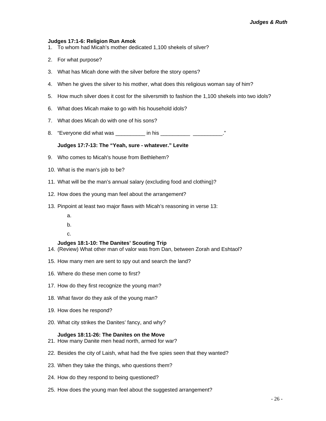#### **Judges 17:1-6: Religion Run Amok**

- 1. To whom had Micah's mother dedicated 1,100 shekels of silver?
- 2. For what purpose?
- 3. What has Micah done with the silver before the story opens?
- 4. When he gives the silver to his mother, what does this religious woman say of him?
- 5. How much silver does it cost for the silversmith to fashion the 1,100 shekels into two idols?
- 6. What does Micah make to go with his household idols?
- 7. What does Micah do with one of his sons?
- 8. "Everyone did what was example in his example the state of the state of the state of the state of the state o

#### **Judges 17:7-13: The "Yeah, sure - whatever." Levite**

- 9. Who comes to Micah's house from Bethlehem?
- 10. What is the man's job to be?
- 11. What will be the man's annual salary (excluding food and clothing)?
- 12. How does the young man feel about the arrangement?
- 13. Pinpoint at least two major flaws with Micah's reasoning in verse 13:
	- a.
	- b.
	- c.

#### **Judges 18:1-10: The Danites' Scouting Trip**

- 14. (Review) What other man of valor was from Dan, between Zorah and Eshtaol?
- 15. How many men are sent to spy out and search the land?
- 16. Where do these men come to first?
- 17. How do they first recognize the young man?
- 18. What favor do they ask of the young man?
- 19. How does he respond?
- 20. What city strikes the Danites' fancy, and why?

#### **Judges 18:11-26: The Danites on the Move**

- 21. How many Danite men head north, armed for war?
- 22. Besides the city of Laish, what had the five spies seen that they wanted?
- 23. When they take the things, who questions them?
- 24. How do they respond to being questioned?
- 25. How does the young man feel about the suggested arrangement?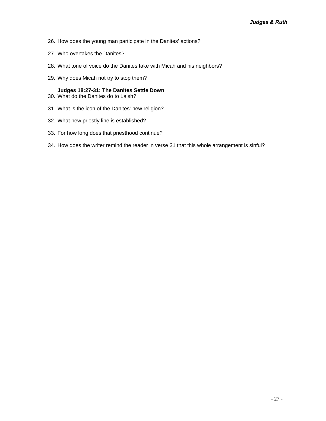- 26. How does the young man participate in the Danites' actions?
- 27. Who overtakes the Danites?
- 28. What tone of voice do the Danites take with Micah and his neighbors?
- 29. Why does Micah not try to stop them?

#### **Judges 18:27-31: The Danites Settle Down**

- 30. What do the Danites do to Laish?
- 31. What is the icon of the Danites' new religion?
- 32. What new priestly line is established?
- 33. For how long does that priesthood continue?
- 34. How does the writer remind the reader in verse 31 that this whole arrangement is sinful?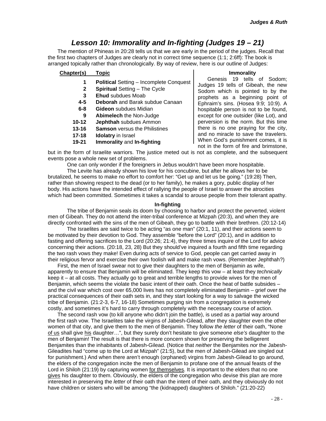### *Lesson 10: Immorality and In-fighting (Judges 19 – 21)*

<span id="page-28-0"></span>The mention of Phineas in 20:28 tells us that we are early in the period of the judges. Recall that the first two chapters of Judges are clearly not in correct time sequence (1:1; 2:6ff): The book is arranged topically rather than chronologically. By way of review, here is our outline of Judges:

#### **Chapter(s) Topic**

- **1 Political** Setting Incomplete Conquest
- **2 Spiritual** Setting The Cycle
- **3 Ehud** subdues Moab
- **4-5 Deborah** and Barak subdue Canaan
- **6-8 Gideon** subdues Midian
- **9 Abimelech** the Non-Judge
- **10-12 Jephthah** subdues Ammon
- **13-16 Samson** versus the Philistines
- **17-18 Idolatry** in Israel
- **19-21 Immorality** and **In-fighting**

#### **Immorality**

Genesis 19 tells of Sodom; Judges 19 tells of Gibeah, the new Sodom which is pointed to by the prophets as a beginning point of Ephraim's sins. (Hosea 9:9; 10:9). A hospitable person is not to be found, except for one outsider (like Lot), and perversion is the norm. But this time there is no one praying for the city, and no miracle to save the travelers. When God's punishment comes, it is not in the form of fire and brimstone,

but in the form of Israelite warriors. The justice meted out is not as complete, and the subsequent events pose a whole new set of problems.

One can only wonder if the foreigners in Jebus wouldn't have been more hospitable.

The Levite has already shown his love for his concubine, but after he allows her to be brutalized, he seems to make no effort to comfort her: "Get up and let us be going." (19:28) Then, rather than showing respect to the dead (or to her family), he makes a gory, public display of her body. His actions have the intended effect of rallying the people of Israel to answer the atrocities which had been committed. Sometimes it takes a scandal to arouse people from their tolerant apathy.

#### **In-fighting**

The tribe of Benjamin seals its doom by choosing to harbor and protect the perverted, violent men of Gibeah. They do not attend the inter-tribal conference at Mizpah (20:3), and when they are directly confronted with the sins of the men of Gibeah, they go to battle with their brethren. (20:12-14)

The Israelites are said twice to be acting "as one man" (20:1, 11), and their actions seem to be motivated by their devotion to God. They assemble "before the Lord" (20:1), and in addition to fasting and offering sacrifices to the Lord (20:26; 21:4), they three times inquire of the Lord for advice concerning their actions. (20:18, 23, 28) But they should've inquired a fourth and fifth time regarding the two rash vows they make! Even during acts of service to God, people can get carried away in their religious fervor and exercise their own foolish will and make rash vows. (Remember Jephthah?)

First, the men of Israel swear not to give their daughters to the men of Benjamin as wife, apparently to ensure that Benjamin will be eliminated. They keep this vow – at least they *technically*  keep it – at all costs. They actually go to great and terrible lengths to provide wives for the men of Benjamin, which seems the violate the basic intent of their oath. Once the heat of battle subsides and the civil war which cost over 65,000 lives has not completely eliminated Benjamin – grief over the practical consequences of their oath sets in, and they start looking for a way to salvage the wicked tribe of Benjamin. (21:2-3, 6-7, 16-18) Sometimes purging sin from a congregation is extremely costly, and sometimes it's hard to carry through completely with the necessary course of action.

The second rash vow (to kill anyone who didn't join the battle), is used as a partial way around the first rash vow. The Israelites take the virgins of Jabesh-Gilead, after they slaughter even the other women of that city, and give them to the men of Benjamin. They follow *the letter* of their oath, "None of us shall give his daughter…", but they surely don't hesitate to give someone *else's* daughter to the men of Benjamin! The result is that there is more concern shown for preserving the belligerent Benjamites than the inhabitants of Jabesh-Gilead. (Notice that *neither* the Benjamites *nor* the Jabesh-Gileadites had "come up to the Lord at Mizpah" (21:5), but the men of Jabesh-Gilead are singled out for punishment.) And when there aren't enough (orphaned) virgins from Jabesh-Gilead to go around, the elders of the congregation incite the men of Benjamin to profane one of the annual feasts of the Lord in Shiloh (21:19) by capturing women for themselves. It is important to the elders that no one gives his daughter to them. Obviously, the elders of the congregation who devise this plan are more interested in preserving the *letter* of their oath than the intent of their oath, and they obviously do not have children or sisters who will be among "the (kidnapped) daughters of Shiloh." (21:20-22)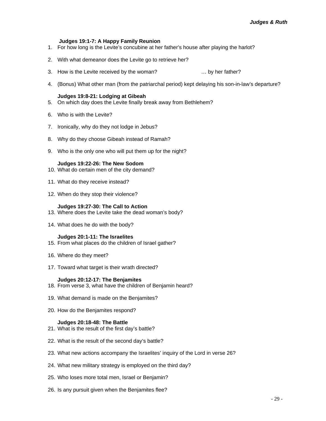#### **Judges 19:1-7: A Happy Family Reunion**

- 1. For how long is the Levite's concubine at her father's house after playing the harlot?
- 2. With what demeanor does the Levite go to retrieve her?
- 3. How is the Levite received by the woman? … by her father?
- 4. (Bonus) What other man (from the patriarchal period) kept delaying his son-in-law's departure?

#### **Judges 19:8-21: Lodging at Gibeah**

- 5. On which day does the Levite finally break away from Bethlehem?
- 6. Who is with the Levite?
- 7. Ironically, why do they not lodge in Jebus?
- 8. Why do they choose Gibeah instead of Ramah?
- 9. Who is the only one who will put them up for the night?

#### **Judges 19:22-26: The New Sodom**

- 10. What do certain men of the city demand?
- 11. What do they receive instead?
- 12. When do they stop their violence?

#### **Judges 19:27-30: The Call to Action**

- 13. Where does the Levite take the dead woman's body?
- 14. What does he do with the body?

#### **Judges 20:1-11: The Israelites**

- 15. From what places do the children of Israel gather?
- 16. Where do they meet?
- 17. Toward what target is their wrath directed?

#### **Judges 20:12-17: The Benjamites**

- 18. From verse 3, what have the children of Benjamin heard?
- 19. What demand is made on the Benjamites?
- 20. How do the Benjamites respond?

#### **Judges 20:18-48: The Battle**

- 21. What is the result of the first day's battle?
- 22. What is the result of the second day's battle?
- 23. What new actions accompany the Israelites' inquiry of the Lord in verse 26?
- 24. What new military strategy is employed on the third day?
- 25. Who loses more total men, Israel or Benjamin?
- 26. Is any pursuit given when the Benjamites flee?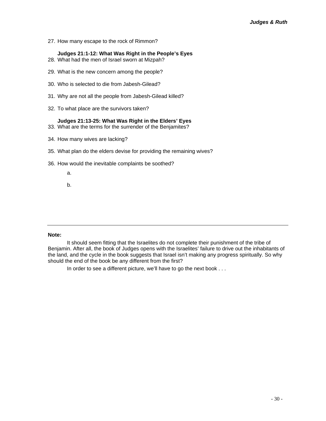27. How many escape to the rock of Rimmon?

#### **Judges 21:1-12: What Was Right in the People's Eyes**

- 28. What had the men of Israel sworn at Mizpah?
- 29. What is the new concern among the people?
- 30. Who is selected to die from Jabesh-Gilead?
- 31. Why are not all the people from Jabesh-Gilead killed?
- 32. To what place are the survivors taken?

#### **Judges 21:13-25: What Was Right in the Elders' Eyes**

- 33. What are the terms for the surrender of the Benjamites?
- 34. How many wives are lacking?
- 35. What plan do the elders devise for providing the remaining wives?
- 36. How would the inevitable complaints be soothed?
	- a.
	- b.

#### **Note:**

It should seem fitting that the Israelites do not complete their punishment of the tribe of Benjamin. After all, the book of Judges opens with the Israelites' failure to drive out the inhabitants of the land, and the cycle in the book suggests that Israel isn't making any progress spiritually. So why should the end of the book be any different from the first?

In order to see a different picture, we'll have to go the next book . . .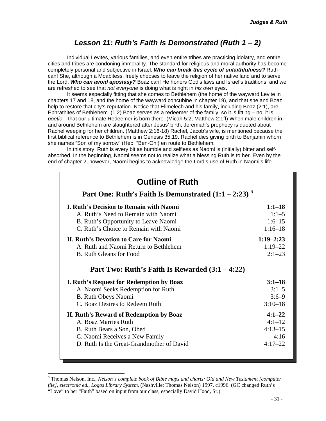### *Lesson 11: Ruth's Faith Is Demonstrated (Ruth 1 – 2)*

<span id="page-31-0"></span>Individual Levites, various families, and even entire tribes are practicing idolatry, and entire cities and tribes are condoning immorality. The standard for religious and moral authority has become completely personal and subjective in Israel. *Who can break this cycle of unfaithfulness?* Ruth can! She, although a Moabitess, freely chooses to leave the religion of her native land and to serve the Lord. *Who can avoid apostasy?* Boaz can! He honors God's laws and Israel's traditions, and we are refreshed to see that *not everyone* is doing what is right in *his own* eyes.

It seems especially fitting that she comes to Bethlehem (the home of the wayward Levite in chapters 17 and 18, and the home of the wayward concubine in chapter 19), and that she and Boaz help to restore that city's reputation. Notice that Elimelech and his family, including Boaz (2:1), are Ephrathites of Bethlehem. (1:2) Boaz serves as a redeemer of the family, so it is fitting  $-$  no, it is *poetic* – that our ultimate Redeemer is born there. (Micah 5:2; Matthew 2:1ff) When male children in and around Bethlehem are slaughtered after Jesus' birth, Jeremiah's prophecy is quoted about Rachel weeping for her children. (Matthew 2:16-18) Rachel, Jacob's wife, is mentioned because the first biblical reference to Bethlehem is in Genesis 35:19. Rachel dies giving birth to Benjamin whom she names "Son of my sorrow" (Heb. "Ben-Oni) en route to Bethlehem.

In this story, Ruth is every bit as humble and selfless as Naomi is (initially) bitter and selfabsorbed. In the beginning, Naomi seems not to realize what a blessing Ruth is to her. Even by the end of chapter 2, however, Naomi begins to acknowledge the Lord's use of Ruth in Naomi's life.

| <b>Outline of Ruth</b><br>Part One: Ruth's Faith Is Demonstrated $(1:1 - 2:23)^6$ |               |
|-----------------------------------------------------------------------------------|---------------|
| <b>I. Ruth's Decision to Remain with Naomi</b>                                    | $1:1-18$      |
| A. Ruth's Need to Remain with Naomi                                               | $1:1-5$       |
| B. Ruth's Opportunity to Leave Naomi                                              | $1:6-15$      |
| C. Ruth's Choice to Remain with Naomi                                             | $1:16 - 18$   |
| <b>II. Ruth's Devotion to Care for Naomi</b>                                      | $1:19 - 2:23$ |
| A. Ruth and Naomi Return to Bethlehem                                             | $1:19 - 22$   |
| B. Ruth Gleans for Food                                                           | $2:1 - 23$    |
| Part Two: Ruth's Faith Is Rewarded $(3:1 - 4:22)$                                 |               |
| I. Ruth's Request for Redemption by Boaz                                          | $3:1-18$      |
| A. Naomi Seeks Redemption for Ruth                                                | $3:1 - 5$     |
| <b>B.</b> Ruth Obeys Naomi                                                        | $3:6-9$       |
| C. Boaz Desires to Redeem Ruth                                                    | $3:10-18$     |
| II. Ruth's Reward of Redemption by Boaz                                           | $4:1 - 22$    |
| A. Boaz Marries Ruth                                                              | $4:1 - 12$    |
| B. Ruth Bears a Son, Obed                                                         | $4:13-15$     |
| C. Naomi Receives a New Family                                                    | 4:16          |
| D. Ruth Is the Great-Grandmother of David                                         | $4:17 - 22$   |

<span id="page-31-1"></span> <sup>6</sup> Thomas Nelson, Inc., *Nelson's complete book of Bible maps and charts: Old and New Testament [computer file], electronic ed., Logos Library System*, (Nashville: Thomas Nelson) 1997, c1996. (GC changed Ruth's "Love" to her "Faith" based on input from our class, especially David Hood, Sr.)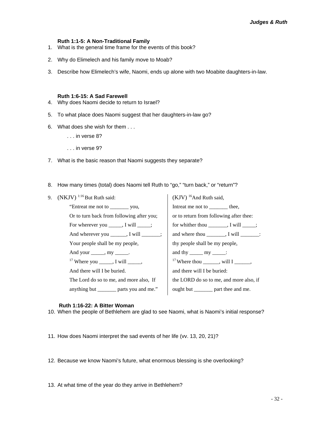#### **Ruth 1:1-5: A Non-Traditional Family**

- 1. What is the general time frame for the events of this book?
- 2. Why do Elimelech and his family move to Moab?
- 3. Describe how Elimelech's wife, Naomi, ends up alone with two Moabite daughters-in-law.

#### **Ruth 1:6-15: A Sad Farewell**

- 4. Why does Naomi decide to return to Israel?
- 5. To what place does Naomi suggest that her daughters-in-law go?
- 6. What does she wish for them . . .
	- . . . in verse 8?
	- . . . in verse 9?
- 7. What is the basic reason that Naomi suggests they separate?
- 8. How many times (total) does Naomi tell Ruth to "go," "turn back," or "return"?

| 9. $(NKJV)^{1.16}$ But Ruth said:              | $(KJV)$ <sup>16</sup> And Ruth said,                          |
|------------------------------------------------|---------------------------------------------------------------|
| "Entreat me not to ____________ you,           | Intreat me not to ________ thee,                              |
| Or to turn back from following after you;      | or to return from following after thee:                       |
| For wherever you $\_\_\_\_$ , I will $\_\_\_\$ | for whither thou $\_\_\_\_\_\_\_\_\$ I will $\_\_\_\_\_\_\_\$ |
| And wherever you _______, I will _______;      | and where thou $\_\_\_\_\_\$ , I will $\_\_\_\_\_\_\_\$ :     |
| Your people shall be my people,                | thy people shall be my people,                                |
| And your ______, my ______.                    | and thy $\_\_\_\_$ my $\_\_\_\_\$ :                           |
| $17$ Where you ______, I will ______,          | <sup>17</sup> Where thou _______, will I ______,              |
| And there will I be buried.                    | and there will I be buried:                                   |
| The Lord do so to me, and more also, If        | the LORD do so to me, and more also, if                       |
| anything but _________ parts you and me."      | ought but _________ part thee and me.                         |
|                                                |                                                               |

#### **Ruth 1:16-22: A Bitter Woman**

- 10. When the people of Bethlehem are glad to see Naomi, what is Naomi's initial response?
- 11. How does Naomi interpret the sad events of her life (vv. 13, 20, 21)?
- 12. Because we know Naomi's future, what enormous blessing is she overlooking?
- 13. At what time of the year do they arrive in Bethlehem?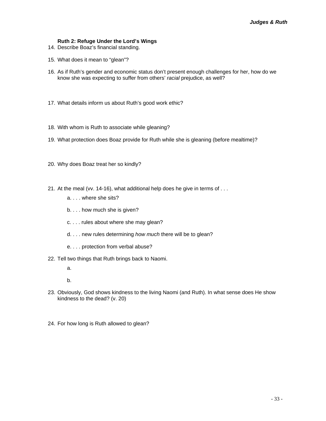#### **Ruth 2: Refuge Under the Lord's Wings**

- 14. Describe Boaz's financial standing.
- 15. What does it mean to "glean"?
- 16. As if Ruth's gender and economic status don't present enough challenges for her, how do we know she was expecting to suffer from others' *racial* prejudice, as well?
- 17. What details inform us about Ruth's good work ethic?
- 18. With whom is Ruth to associate while gleaning?
- 19. What protection does Boaz provide for Ruth while she is gleaning (before mealtime)?
- 20. Why does Boaz treat her so kindly?
- 21. At the meal (vv. 14-16), what additional help does he give in terms of . . .
	- a. . . . where she sits?
	- b. . . . how much she is given?
	- c. . . . rules about where she may glean?
	- d. . . . new rules determining *how much* there will be to glean?
	- e. . . . protection from verbal abuse?
- 22. Tell two things that Ruth brings back to Naomi.
	- a.
	- b.
- 23. Obviously, God shows kindness to the living Naomi (and Ruth). In what sense does He show kindness to the dead? (v. 20)
- 24. For how long is Ruth allowed to glean?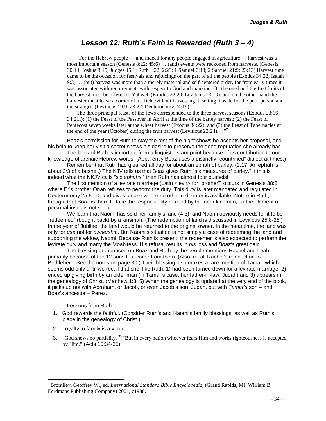### *Lesson 12: Ruth's Faith Is Rewarded (Ruth 3 – 4)*

<span id="page-34-0"></span>"For the Hebrew people — and indeed for any people engaged in agriculture — harvest was a most important season (Genesis 8:22; 45:6) … (and) events were reckoned from harvests. (Genesis 30:14; Joshua 3:15; Judges 15:1; Ruth 1:22; 2:23; 1 Samuel 6:13; 2 Samuel 21:9; 23:13) Harvest time came to be the occasion for festivals and rejoicings on the part of all the people (Exodus 34:22; Isaiah 9:3) … (but) harvest was more than a merely material and self-centered order, for from early times it was associated with requirements with respect to God and mankind. On the one hand the first fruits of the harvest must be offered to Yahweh (Exodus 22:29; Leviticus 23:10); and on the other hand the harvester must leave a corner of his field without harvesting it, setting it aside for the poor person and the stranger. (Leviticus 19:9; 23:22; Deuteronomy 24:19)

The three principal feasts of the Jews corresponded to the three harvest seasons (Exodus 23:16; 34:21f): (1) the Feast of the Passover in April at the time of the barley harvest; (2) the Feast of Pentecost seven weeks later at the wheat harvest (Exodus 34:22); and (3) the Feast of Tabernacles at the end of the year (October) during the fruit harvest (Leviticus 23:24)...."<sup>[7](#page-34-1)</sup>

Boaz's permission for Ruth to stay the rest of the night shows he accepts her proposal, and his help to keep her visit a secret shows his desire to preserve the good reputation she already has.

The book of Ruth is important from a linguistic standpoint because of its contribution to our knowledge of archaic Hebrew words. (Apparently Boaz uses a distinctly "countrified" dialect at times.)

Remember that Ruth had gleaned all day for about an ephah of barley. (2:17. An ephah is about 2/3 of a bushel.) The KJV tells us that Boaz gives Ruth "six measures of barley." If this is indeed what the NKJV calls "six *ephahs*," then Ruth has almost four bushels!

The first mention of a levirate marriage (Latin <levir> for "brother") occurs in Genesis 38:8 where Er's brother Onan refuses to perform the duty. This duty is later mandated and regulated in Deuteronomy 25:5-10, and gives a case where no other redeemer is available. Notice in Ruth, though, that Boaz is there to take the responsibility refused by the near kinsman, so the element of personal insult is not seen.

We learn that Naomi has sold her family's land (4:3), and Naomi obviously needs for it to be "redeemed" (bought back) by a kinsman. (The redemption of land is discussed in Leviticus 25:8-28.) In the year of Jubilee, the land would be returned to the original owner. In the meantime, the land was only for *use* not for *ownership*. But Naomi's situation is not simply a case of redeeming the land and supporting the widow, Naomi. Because Ruth is present, the redeemer is also expected to perform the levirate duty and marry the Moabitess. His refusal results in *his* loss and *Boaz's* great gain.

The blessing pronounced on Boaz and Ruth by the people mentions Rachel and Leah primarily because of the 12 sons that came from them. (Also, recall Rachel's connection to Bethlehem. See the notes on page 30.) Their blessing also makes a rare mention of Tamar, which seems odd only until we recall that she, like Ruth, 1) had been turned down for a levirate marriage, 2) ended up giving birth by an older man (in Tamar's case, her father-in-law, Judah) and 3) appears in the genealogy of Christ. (Matthew 1:3, 5) When the genealogy is updated at the very end of the book, it picks up not with Abraham, or Jacob, or even Jacob's son, Judah, but with *Tamar's* son – and Boaz's ancestor – Perez.

Lessons from Ruth:

- 1. God rewards the faithful. (Consider Ruth's and Naomi's family blessings, as well as Ruth's place in the genealogy of Christ.)
- 2. Loyalty to family is a virtue.
- 3. "God shows no partiality.<sup>35</sup> "But in every nation whoever fears Him and works righteousness is accepted by Him." (Acts 10:34-35)

<span id="page-34-1"></span> <sup>7</sup> Bromiley, Geoffrey W., ed, *International Standard Bible Encyclopedia*, (Grand Rapids, MI: William B. Eerdmans Publishing Company) 2001, c1988.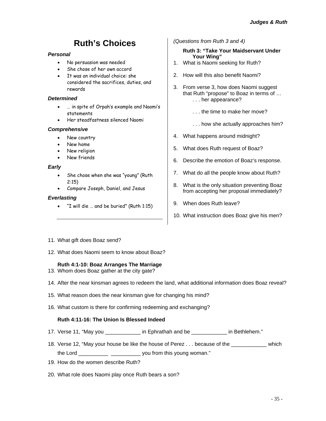# **Ruth's Choices**

#### <span id="page-35-0"></span>*Personal*

- No persuasion was needed
- She chose of her own accord
- It was an individual choice: she considered the sacrifices, duties, and rewards

#### *Determined*

- … in spite of Orpah's example and Naomi's statements
- Her steadfastness silenced Naomi

#### *Comprehensive*

- New country
- New home
- New religion
- New friends

#### *Early*

- She chose when she was "young" (Ruth 2:15)
- Compare Joseph, Daniel, and Jesus

#### *Everlasting*

• "I will die … and be buried" (Ruth 1:15)

*(Questions from Ruth 3 and 4)* 

#### **Ruth 3: "Take Your Maidservant Under Your Wing"**

- 1. What is Naomi seeking for Ruth?
- 2. How will this also benefit Naomi?
- 3. From verse 3, how does Naomi suggest that Ruth "propose" to Boaz in terms of … . . . her appearance?
	- . . . the time to make her move?
	- . . . how she actually approaches him?
- 4. What happens around midnight?
- 5. What does Ruth request of Boaz?
- 6. Describe the emotion of Boaz's response.
- 7. What do all the people know about Ruth?
- 8. What is the only situation preventing Boaz from accepting her proposal immediately?
- 9. When does Ruth leave?
- 10. What instruction does Boaz give his men?

- 11. What gift does Boaz send?
- 12. What does Naomi seem to know about Boaz?

#### **Ruth 4:1-10: Boaz Arranges The Marriage**

- 13. Whom does Boaz gather at the city gate?
- 14. After the near kinsman agrees to redeem the land, what additional information does Boaz reveal?
- 15. What reason does the near kinsman give for changing his mind?
- 16. What custom is there for confirming redeeming and exchanging?

#### **Ruth 4:11-16: The Union Is Blessed Indeed**

- 17. Verse 11, "May you \_\_\_\_\_\_\_\_\_\_\_\_ in Ephrathah and be \_\_\_\_\_\_\_\_\_\_\_\_ in Bethlehem."
- 18. Verse 12, "May your house be like the house of Perez . . . because of the \_\_\_\_\_\_\_\_\_\_\_\_ which the Lord \_\_\_\_\_\_\_\_\_\_ \_\_\_\_\_\_\_\_\_\_ you from this young woman."
- 19. How do the women describe Ruth?
- 20. What role does Naomi play once Ruth bears a son?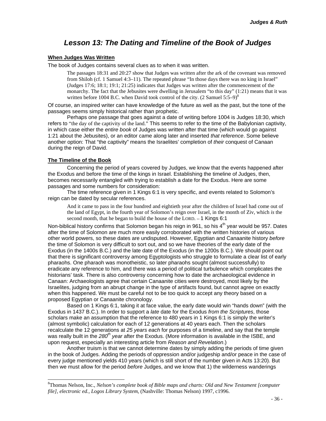### *Lesson 13: The Dating and Timeline of the Book of Judges*

#### <span id="page-36-0"></span>**When Judges Was Written**

The book of Judges contains several clues as to when it was written.

The passages 18:31 and 20:27 show that Judges was written after the ark of the covenant was removed from Shiloh (cf. 1 Samuel 4:3–11). The repeated phrase "In those days there was no king in Israel" (Judges 17:6; 18:1; 19:1; 21:25) indicates that Judges was written after the commencement of the monarchy. The fact that the Jebusites were dwelling in Jerusalem "to this day" (1:21) means that it was written before 1004 B.C. when David took control of the city.  $(2 \text{ Samuel } 5:5-9)^8$ 

Of course, an inspired writer can have knowledge of the future as well as the past, but the tone of the passages seems simply historical rather than prophetic.

Perhaps one passage that goes against a date of writing before 1004 is Judges 18:30, which refers to "the day of the captivity of the land." This seems to refer to the time of the Babylonian captivity, in which case either the *entire book* of Judges was written after that time (which would go against 1:21 about the Jebusites), or an editor came along later and inserted *that reference*. Some believe another option: That "the captivity" means the Israelites' completion of *their* conquest of Canaan during the reign of David.

#### **The Timeline of the Book**

Concerning the period of years covered by Judges, we know that the events happened after the Exodus and before the time of the kings in Israel. Establishing the timeline of Judges, then, becomes necessarily entangled with trying to establish a date for the Exodus. Here are some passages and some numbers for consideration:

The time reference given in 1 Kings 6:1 is very specific, and events related to Solomon's reign can be dated by secular references.

And it came to pass in the four hundred and eightieth year after the children of Israel had come out of the land of Egypt, in the fourth year of Solomon's reign over Israel, in the month of Ziv, which *is* the second month, that he began to build the house of the LORD. -- 1 Kings 6:1

Non-biblical history confirms that Solomon began his reign in 961, so his  $4<sup>th</sup>$  year would be 957. Dates after the time of Solomon are much more easily corroborated with the written histories of various other world powers, so these dates are undisputed. However, Egyptian and Canaanite history *before* the time of Solomon is very difficult to sort out, and so we have theories of the early date of the Exodus (in the 1400s B.C.) and the late date of the Exodus (in the 1200s B.C.). We should point out that there is significant controversy among Egyptologists who struggle to formulate a clear list of early pharaohs. One pharaoh was monotheistic, so later pharaohs sought (almost successfully) to eradicate any reference to him, and there was a period of political turbulence which complicates the historians' task. There is also controversy concerning how to date the archaeological evidence in Canaan: Archaeologists agree that certain Canaanite cities were destroyed, most likely by the Israelites, judging from an abrupt change in the type of artifacts found, but cannot agree on exactly when this happened. We must be careful not to be too quick to accept any theory based on a proposed Egyptian or Canaanite chronology.

Based on 1 Kings 6:1, taking it at face value, the early date would win "hands down" (with the Exodus in 1437 B.C.). In order to support a *late* date for the Exodus *from the Scriptures*, those scholars make an assumption that the reference to 480 years in 1 Kings 6:1 is simply the writer's (almost symbolic) calculation for each of 12 generations at 40 years each. Then the scholars recalculate the 12 generations at *25 years each* for purposes of a timeline, and say that the temple was really built in the *280th year* after the Exodus. (More information is available in the ISBE, and upon request, especially an interesting article from *Reason and Revelation*.)

Another truism is that we cannot determine dates by simply adding the periods of time given in the book of Judges. Adding the periods of oppression and/or judgeship and/or peace in the case of every judge mentioned yields 410 years (which is still short of the number given in Acts 13:20). But then we must allow for the period *before* Judges, and we know that 1) the wilderness wanderings

<span id="page-36-1"></span> <sup>8</sup> Thomas Nelson, Inc., *Nelson's complete book of Bible maps and charts: Old and New Testament [computer file], electronic ed., Logos Library System*, (Nashville: Thomas Nelson) 1997, c1996.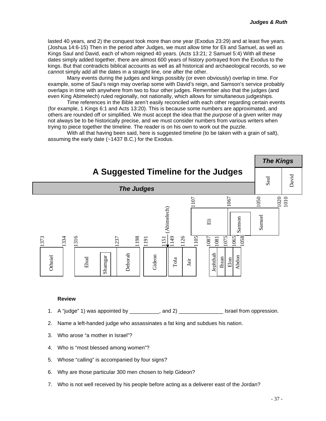<span id="page-37-0"></span>lasted 40 years, and 2) the conquest took more than one year (Exodus 23:29) and at least five years. (Joshua 14:6-15) Then in the period *after* Judges, we must allow time for Eli and Samuel, as well as Kings Saul and David, each of whom reigned 40 years. (Acts 13:21; 2 Samuel 5:4) With all these dates simply added together, there are almost 600 years of history portrayed from the Exodus to the kings. But that contradicts biblical accounts as well as all historical and archaeological records, so we cannot simply add all the dates in a straight line, one after the other.

Many events during the judges and kings possibly (or even obviously) overlap in time. For example, some of Saul's reign may overlap some with David's reign, and Samson's service probably overlaps in time with anywhere from two to four other judges. Remember also that the judges (and even King Abimelech) ruled regionally, not nationally, which allows for simultaneous judgeships.

Time references in the Bible aren't easily reconciled with each other regarding certain events (for example, 1 Kings 6:1 and Acts 13:20). This is because some numbers are approximated, and others are rounded off or simplified. We must accept the idea that the *purpose* of a given writer may not always be to be historically precise, and we must consider numbers from various writers when trying to piece together the timeline. The reader is on his own to work out the puzzle.

With all that having been said, here is suggested timeline (to be taken with a grain of salt), assuming the early date (~1437 B.C.) for the Exodus.



#### **Review**

- 1. A "judge" 1) was appointed by  $\qquad \qquad$ , and 2)  $\qquad \qquad$  Israel from oppression.
- 2. Name a left-handed judge who assassinates a fat king and subdues his nation.
- 3. Who arose "a mother in Israel"?
- 4. Who is "most blessed among women"?
- 5. Whose "calling" is accompanied by four signs?
- 6. Why are those particular 300 men chosen to help Gideon?
- 7. Who is not well received by his people before acting as a deliverer east of the Jordan?